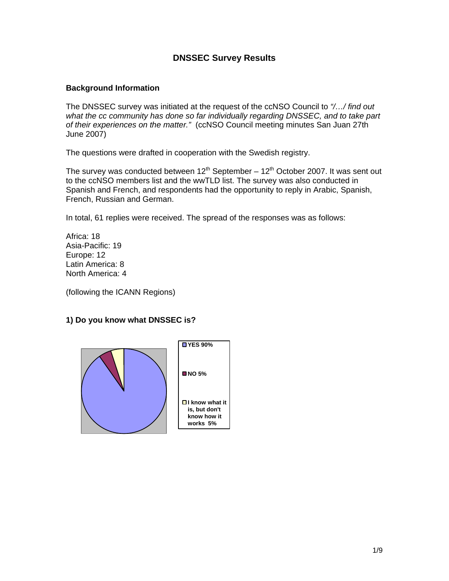# **DNSSEC Survey Results**

#### **Background Information**

The DNSSEC survey was initiated at the request of the ccNSO Council to *"/…/ find out what the cc community has done so far individually regarding DNSSEC, and to take part of their experiences on the matter."* (ccNSO Council meeting minutes San Juan 27th June 2007)

The questions were drafted in cooperation with the Swedish registry.

The survey was conducted between  $12^{th}$  September –  $12^{th}$  October 2007. It was sent out to the ccNSO members list and the wwTLD list. The survey was also conducted in Spanish and French, and respondents had the opportunity to reply in Arabic, Spanish, French, Russian and German.

In total, 61 replies were received. The spread of the responses was as follows:

Africa: 18 Asia-Pacific: 19 Europe: 12 Latin America: 8 North America: 4

(following the ICANN Regions)

## **1) Do you know what DNSSEC is?**

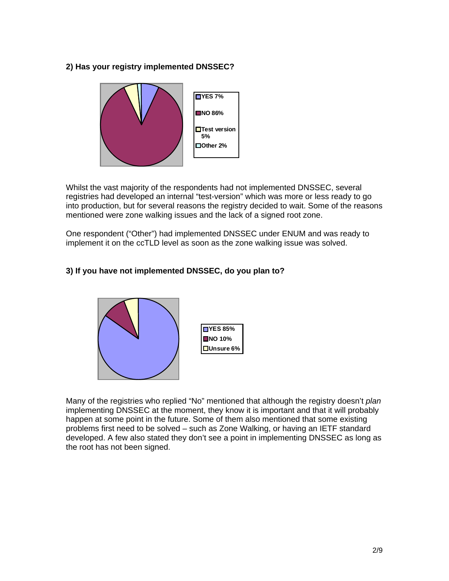# **2) Has your registry implemented DNSSEC?**



Whilst the vast majority of the respondents had not implemented DNSSEC, several registries had developed an internal "test-version" which was more or less ready to go into production, but for several reasons the registry decided to wait. Some of the reasons mentioned were zone walking issues and the lack of a signed root zone.

One respondent ("Other") had implemented DNSSEC under ENUM and was ready to implement it on the ccTLD level as soon as the zone walking issue was solved.

## **3) If you have not implemented DNSSEC, do you plan to?**



Many of the registries who replied "No" mentioned that although the registry doesn't *plan* implementing DNSSEC at the moment, they know it is important and that it will probably happen at some point in the future. Some of them also mentioned that some existing problems first need to be solved – such as Zone Walking, or having an IETF standard developed. A few also stated they don't see a point in implementing DNSSEC as long as the root has not been signed.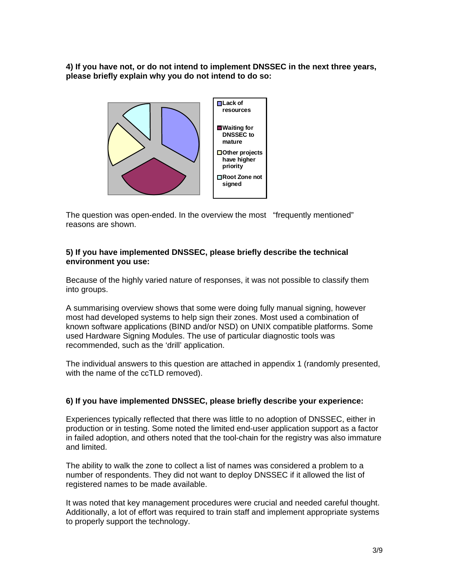**4) If you have not, or do not intend to implement DNSSEC in the next three years, please briefly explain why you do not intend to do so:**



The question was open-ended. In the overview the most "frequently mentioned" reasons are shown.

#### **5) If you have implemented DNSSEC, please briefly describe the technical environment you use:**

Because of the highly varied nature of responses, it was not possible to classify them into groups.

A summarising overview shows that some were doing fully manual signing, however most had developed systems to help sign their zones. Most used a combination of known software applications (BIND and/or NSD) on UNIX compatible platforms. Some used Hardware Signing Modules. The use of particular diagnostic tools was recommended, such as the 'drill' application.

The individual answers to this question are attached in appendix 1 (randomly presented, with the name of the ccTLD removed).

## **6) If you have implemented DNSSEC, please briefly describe your experience:**

Experiences typically reflected that there was little to no adoption of DNSSEC, either in production or in testing. Some noted the limited end-user application support as a factor in failed adoption, and others noted that the tool-chain for the registry was also immature and limited.

The ability to walk the zone to collect a list of names was considered a problem to a number of respondents. They did not want to deploy DNSSEC if it allowed the list of registered names to be made available.

It was noted that key management procedures were crucial and needed careful thought. Additionally, a lot of effort was required to train staff and implement appropriate systems to properly support the technology.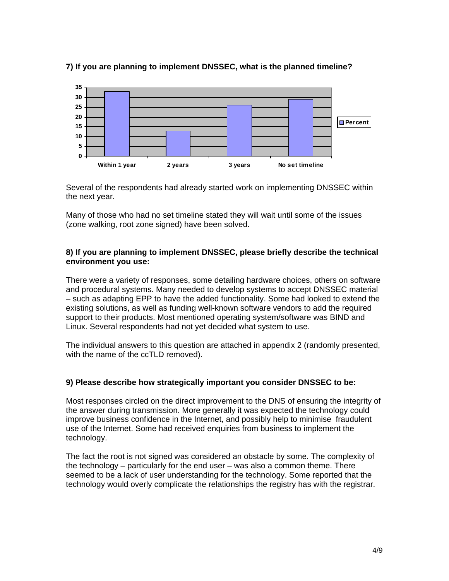

## **7) If you are planning to implement DNSSEC, what is the planned timeline?**

Several of the respondents had already started work on implementing DNSSEC within the next year.

Many of those who had no set timeline stated they will wait until some of the issues (zone walking, root zone signed) have been solved.

## **8) If you are planning to implement DNSSEC, please briefly describe the technical environment you use:**

There were a variety of responses, some detailing hardware choices, others on software and procedural systems. Many needed to develop systems to accept DNSSEC material – such as adapting EPP to have the added functionality. Some had looked to extend the existing solutions, as well as funding well-known software vendors to add the required support to their products. Most mentioned operating system/software was BIND and Linux. Several respondents had not yet decided what system to use.

The individual answers to this question are attached in appendix 2 (randomly presented, with the name of the ccTLD removed).

## **9) Please describe how strategically important you consider DNSSEC to be:**

Most responses circled on the direct improvement to the DNS of ensuring the integrity of the answer during transmission. More generally it was expected the technology could improve business confidence in the Internet, and possibly help to minimise fraudulent use of the Internet. Some had received enquiries from business to implement the technology.

The fact the root is not signed was considered an obstacle by some. The complexity of the technology – particularly for the end user – was also a common theme. There seemed to be a lack of user understanding for the technology. Some reported that the technology would overly complicate the relationships the registry has with the registrar.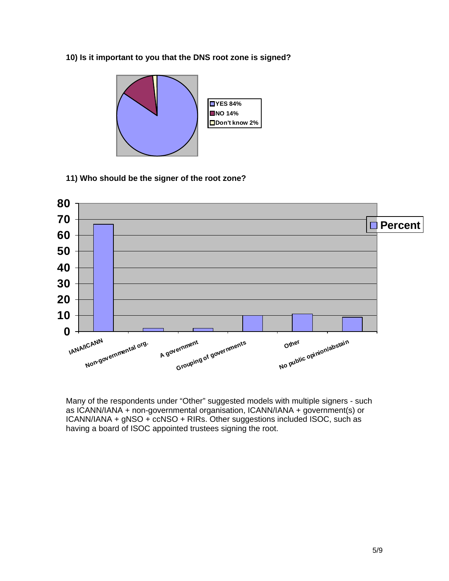## **10) Is it important to you that the DNS root zone is signed?**



## **11) Who should be the signer of the root zone?**



Many of the respondents under "Other" suggested models with multiple signers - such as ICANN/IANA + non-governmental organisation, ICANN/IANA + government(s) or ICANN/IANA + gNSO + ccNSO + RIRs. Other suggestions included ISOC, such as having a board of ISOC appointed trustees signing the root.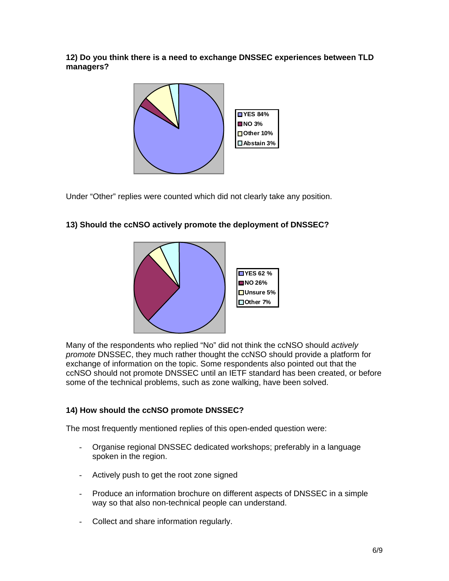**12) Do you think there is a need to exchange DNSSEC experiences between TLD managers?** 



Under "Other" replies were counted which did not clearly take any position.

# **13) Should the ccNSO actively promote the deployment of DNSSEC?**



Many of the respondents who replied "No" did not think the ccNSO should *actively promote* DNSSEC, they much rather thought the ccNSO should provide a platform for exchange of information on the topic. Some respondents also pointed out that the ccNSO should not promote DNSSEC until an IETF standard has been created, or before some of the technical problems, such as zone walking, have been solved.

# **14) How should the ccNSO promote DNSSEC?**

The most frequently mentioned replies of this open-ended question were:

- Organise regional DNSSEC dedicated workshops; preferably in a language spoken in the region.
- Actively push to get the root zone signed
- Produce an information brochure on different aspects of DNSSEC in a simple way so that also non-technical people can understand.
- Collect and share information regularly.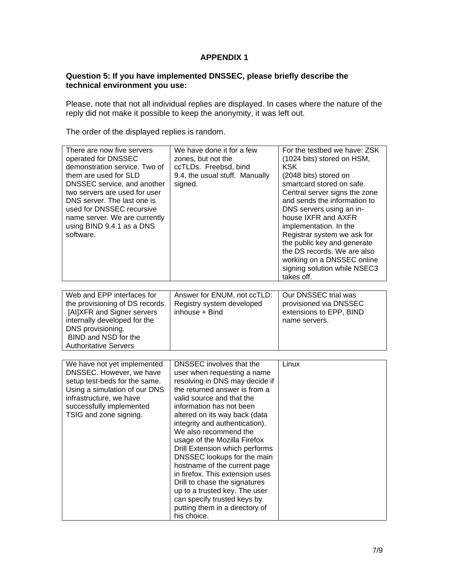## **APPENDIX 1**

#### **Question 5: If you have implemented DNSSEC, please briefly describe the technical environment you use:**

Please, note that not all individual replies are displayed. In cases where the nature of the reply did not make it possible to keep the anonymity, it was left out.

The order of the displayed replies is random.

| There are now five servers<br>operated for DNSSEC<br>demonstration service. Two of<br>them are used for SLD<br>DNSSEC service, and another<br>two servers are used for user<br>DNS server. The last one is<br>used for DNSSEC recursive<br>name server. We are currently<br>using BIND 9.4.1 as a DNS<br>software. | We have done it for a few<br>zones, but not the<br>ccTLDs. Freebsd, bind<br>9.4, the usual stuff. Manually<br>signed.                                                                                                                                                                                                                                                                                                                                                                                                                                                                                 | For the testbed we have: ZSK<br>(1024 bits) stored on HSM,<br><b>KSK</b><br>(2048 bits) stored on<br>smartcard stored on safe.<br>Central server signs the zone<br>and sends the information to<br>DNS servers using an in-<br>house IXFR and AXFR<br>implementation. In the<br>Registrar system we ask for<br>the public key and generate<br>the DS records. We are also<br>working on a DNSSEC online<br>signing solution while NSEC3<br>takes off. |
|--------------------------------------------------------------------------------------------------------------------------------------------------------------------------------------------------------------------------------------------------------------------------------------------------------------------|-------------------------------------------------------------------------------------------------------------------------------------------------------------------------------------------------------------------------------------------------------------------------------------------------------------------------------------------------------------------------------------------------------------------------------------------------------------------------------------------------------------------------------------------------------------------------------------------------------|-------------------------------------------------------------------------------------------------------------------------------------------------------------------------------------------------------------------------------------------------------------------------------------------------------------------------------------------------------------------------------------------------------------------------------------------------------|
|                                                                                                                                                                                                                                                                                                                    |                                                                                                                                                                                                                                                                                                                                                                                                                                                                                                                                                                                                       |                                                                                                                                                                                                                                                                                                                                                                                                                                                       |
| Web and EPP interfaces for<br>the provisioning of DS records.<br>[AI]XFR and Signer servers<br>internally developed for the<br>DNS provisioning.<br>BIND and NSD for the<br><b>Authoritative Servers</b>                                                                                                           | Answer for ENUM, not ccTLD:<br>Registry system developed<br>inhouse + Bind                                                                                                                                                                                                                                                                                                                                                                                                                                                                                                                            | Our DNSSEC trial was<br>provisioned via DNSSEC<br>extensions to EPP, BIND<br>name servers.                                                                                                                                                                                                                                                                                                                                                            |
|                                                                                                                                                                                                                                                                                                                    |                                                                                                                                                                                                                                                                                                                                                                                                                                                                                                                                                                                                       |                                                                                                                                                                                                                                                                                                                                                                                                                                                       |
| We have not yet implemented<br>DNSSEC. However, we have<br>setup test-beds for the same.<br>Using a simulation of our DNS<br>infrastructure, we have<br>successfully implemented<br>TSIG and zone signing.                                                                                                         | DNSSEC involves that the<br>user when requesting a name<br>resolving in DNS may decide if<br>the returned answer is from a<br>valid source and that the<br>information has not been<br>altered on its way back (data<br>integrity and authentication).<br>We also recommend the<br>usage of the Mozilla Firefox<br>Drill Extension which performs<br>DNSSEC lookups for the main<br>hostname of the current page<br>in firefox. This extension uses<br>Drill to chase the signatures<br>up to a trusted key. The user<br>can specify trusted keys by<br>putting them in a directory of<br>his choice. | Linux                                                                                                                                                                                                                                                                                                                                                                                                                                                 |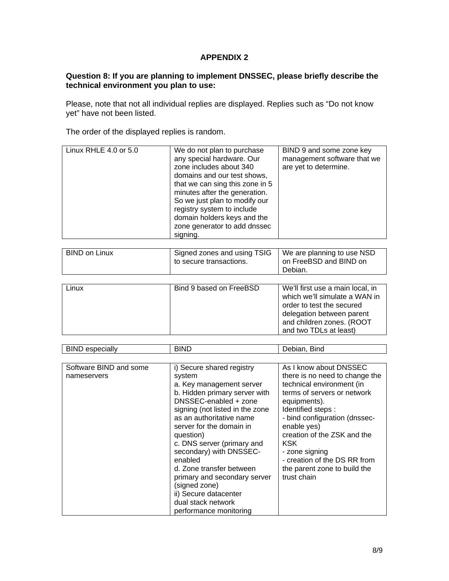## **APPENDIX 2**

#### **Question 8: If you are planning to implement DNSSEC, please briefly describe the technical environment you plan to use:**

Please, note that not all individual replies are displayed. Replies such as "Do not know yet" have not been listed.

The order of the displayed replies is random.

| Linux RHLE 4.0 or 5.0 | We do not plan to purchase<br>any special hardware. Our<br>zone includes about 340<br>domains and our test shows,<br>that we can sing this zone in 5<br>minutes after the generation.<br>So we just plan to modify our<br>registry system to include<br>domain holders keys and the<br>zone generator to add dnssec<br>signing. | BIND 9 and some zone key<br>management software that we<br>are yet to determine. |
|-----------------------|---------------------------------------------------------------------------------------------------------------------------------------------------------------------------------------------------------------------------------------------------------------------------------------------------------------------------------|----------------------------------------------------------------------------------|
| <b>BIND on Linux</b>  | Signed zones and using TSIG<br>to secure transactions.                                                                                                                                                                                                                                                                          | We are planning to use NSD<br>on FreeBSD and BIND on<br>Debian.                  |

| Bind 9 based on FreeBSD<br>We'll first use a main local, in<br>Linux<br>order to test the secured<br>delegation between parent |  |                                                            |
|--------------------------------------------------------------------------------------------------------------------------------|--|------------------------------------------------------------|
| and two TDLs at least)                                                                                                         |  | which we'll simulate a WAN in<br>and children zones. (ROOT |

| <b>BIND</b> especially                | <b>BIND</b>                                                                                                                                                                                                                                                                                                                                                                                                                                                 | Debian, Bind                                                                                                                                                                                                                                                                                                                                            |
|---------------------------------------|-------------------------------------------------------------------------------------------------------------------------------------------------------------------------------------------------------------------------------------------------------------------------------------------------------------------------------------------------------------------------------------------------------------------------------------------------------------|---------------------------------------------------------------------------------------------------------------------------------------------------------------------------------------------------------------------------------------------------------------------------------------------------------------------------------------------------------|
|                                       |                                                                                                                                                                                                                                                                                                                                                                                                                                                             |                                                                                                                                                                                                                                                                                                                                                         |
| Software BIND and some<br>nameservers | i) Secure shared registry<br>system<br>a. Key management server<br>b. Hidden primary server with<br>DNSSEC-enabled + zone<br>signing (not listed in the zone<br>as an authoritative name<br>server for the domain in<br>question)<br>c. DNS server (primary and<br>secondary) with DNSSEC-<br>enabled<br>d. Zone transfer between<br>primary and secondary server<br>(signed zone)<br>ii) Secure datacenter<br>dual stack network<br>performance monitoring | As I know about DNSSEC<br>there is no need to change the<br>technical environment (in<br>terms of servers or network<br>equipments).<br>Identified steps:<br>- bind configuration (dnssec-<br>enable yes)<br>creation of the ZSK and the<br><b>KSK</b><br>- zone signing<br>- creation of the DS RR from<br>the parent zone to build the<br>trust chain |